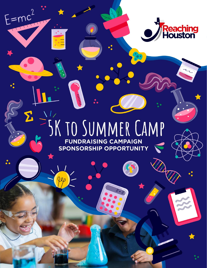

## SK TO SUMMER CAMP FUNDRAISING CAMPAIGN **SPONSORSHIP OPPORTUNITY**

 $E=mc$ 

THURS

 $\boldsymbol{\Sigma}$ 

les